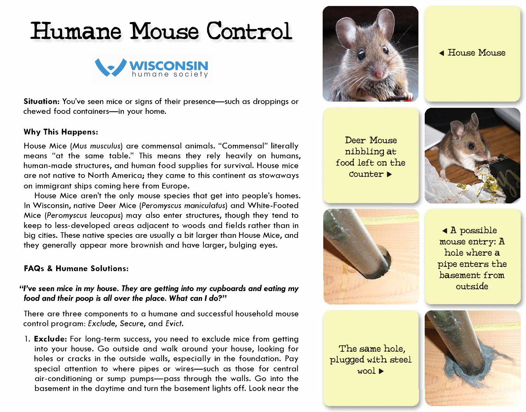# **Humane Mouse Control**



**Situation:** You've seen mice or signs of their presence-such as droppings or chewed food containers-in your home.

#### **Why This Happens:**

House Mice *(Mus musculus)* are commensal animals. "Commensal" literally means "at the same table." This means they rely heavily on humans, human-made structures, and human food supplies for survival. House mice are not native to North America; they came to this continent as stowaways on immigrant ships coming here from Europe.

House Mice aren't the only mouse species that get into people's homes. In Wisconsin, native Deer Mice *(Peromyscus maniculatus)* and White-Footed Mice *(Peromyscus leucopus)* may also enter structures, though they tend to keep to less-developed areas adjacent to woods and fields rather than in big cities. These native species are usually a bit larger than House Mice, and they generally appear more brownish and have larger, bulging eyes.

#### **FAQs & Humane Solutions:**

## *"I've* **seen** *mice in my house. They are getting into* **my** *cupboards* **and** *eating* **my food and** *their poop is all over the place. What* **can** *I* **do?"**

There are three components to a humane and successful household mouse control program: *Exclude,* Secure, and *Evict.* 

l. **Exclude:** For long-term success, you need to exclude mice from getting into your house. Go outside and walk around your house, looking for holes or cracks in the outside walls, especially in the foundation. Pay special attention to where pipes or wires-such as those for central air-conditioning or sump pumps-pass through the walls. Go into the basement in the daytime and turn the basement lights off. Look near the



◄ House Mouse

Deer Mouse nibbling at food left on the Counter►





The same hole, plugged with steel wool►

◄ A possible mouse entry:A hole where a pipe enters the basement from outside

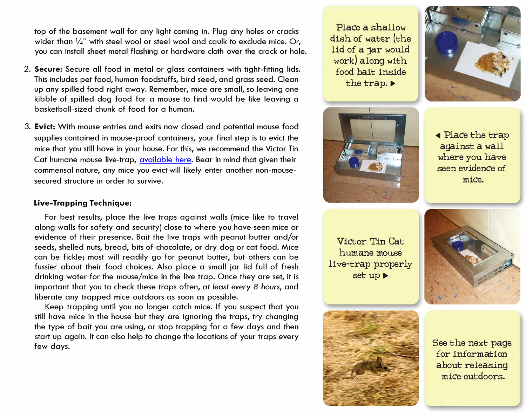top of the basement wall for any light coming in. Plug any holes or cracks wider than  $\frac{1}{4}$ " with steel wool or steel wool and caulk to exclude mice. Or, you can install sheet metal flashing or hardware cloth over the crack or hole.

- 2. **Secure:** Secure all food in metal or glass containers with tight-fitting lids. This includes pet food, human foodstuffs, bird seed, and grass seed. Clean up any spilled food right away. Remember, mice are small, so leaving one kibble of spilled dog food for a mouse to find would be like leaving a basketball-sized chunk of food for a human.
- 3. **Evict:** With mouse entries and exits now closed and potential mouse food supplies contained in mouse-proof containers, your final step is to evict the mice that you still have in your house. For this, we recommend the Victor Tin Cat humane mouse live-trap, [available](https://www.victorpest.com/victor-tin-cat-mouse-trap-m310s) here. Bear in mind that given their commensal nature, any mice you evict will likely enter another non-mousesecured structure in order to survive.

#### **Live-Trapping Technique:**

For best results, place the live traps against walls (mice like to travel along walls for safety and security) close to where you have seen mice or evidence of their presence. Bait the live traps with peanut butter and/or seeds, shelled nuts, bread, bits of chocolate, or dry dog or cat food. Mice can be fickle; most will readily go for peanut butter, but others can be fussier about their food choices. Also place a small jar lid full of fresh drinking water for the mouse/mice in the live trap. Once they are set, it is important that you to check these traps often, *at least every 8 hours,* and liberate any trapped mice outdoors as soon as possible.

Keep trapping until you no longer catch mice. If you suspect that you still have mice in the house but they are ignoring the traps, try changing the type of bait you are using, or stop trapping for a few days and then start up again. It can also help to change the locations of your traps every few days.

**Place a shallow dish of water (the lid of a jar would work) along with food bait** *inside* **the trap.** ►



◄ **Place the trap against a wall where you have seen evidence of** *mice.* 

**Victor Tin Cat humane mouse live-trap properly set up►** 





**See the next page for information about releasing**  *mice* **outdoors.**